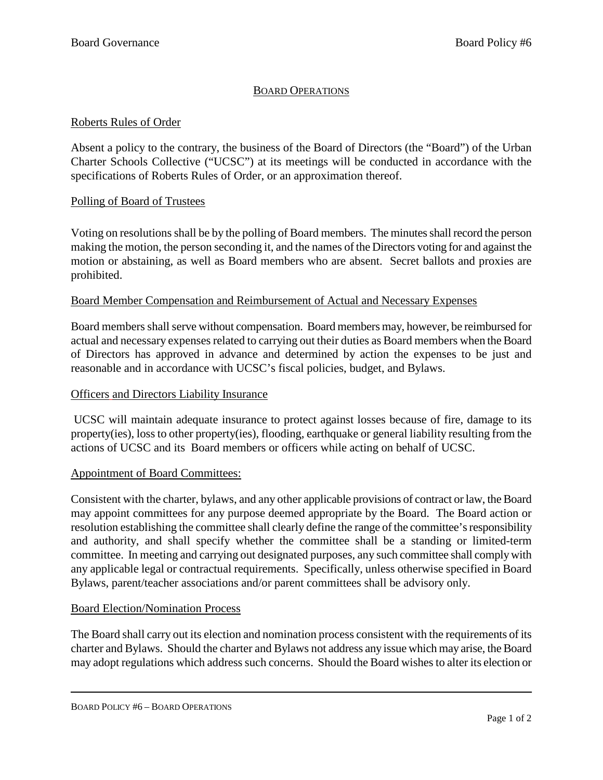# BOARD OPERATIONS

## Roberts Rules of Order

Absent a policy to the contrary, the business of the Board of Directors (the "Board") of the Urban Charter Schools Collective ("UCSC") at its meetings will be conducted in accordance with the specifications of Roberts Rules of Order, or an approximation thereof.

## Polling of Board of Trustees

Voting on resolutions shall be by the polling of Board members. The minutes shall record the person making the motion, the person seconding it, and the names of the Directors voting for and against the motion or abstaining, as well as Board members who are absent. Secret ballots and proxies are prohibited.

## Board Member Compensation and Reimbursement of Actual and Necessary Expenses

Board members shall serve without compensation. Board members may, however, be reimbursed for actual and necessary expenses related to carrying out their duties as Board members when the Board of Directors has approved in advance and determined by action the expenses to be just and reasonable and in accordance with UCSC's fiscal policies, budget, and Bylaws.

## Officers and Directors Liability Insurance

UCSC will maintain adequate insurance to protect against losses because of fire, damage to its property(ies), loss to other property(ies), flooding, earthquake or general liability resulting from the actions of UCSC and its Board members or officers while acting on behalf of UCSC.

## Appointment of Board Committees:

Consistent with the charter, bylaws, and any other applicable provisions of contract or law, the Board may appoint committees for any purpose deemed appropriate by the Board. The Board action or resolution establishing the committee shall clearly define the range of the committee's responsibility and authority, and shall specify whether the committee shall be a standing or limited-term committee. In meeting and carrying out designated purposes, any such committee shall comply with any applicable legal or contractual requirements. Specifically, unless otherwise specified in Board Bylaws, parent/teacher associations and/or parent committees shall be advisory only.

## Board Election/Nomination Process

The Board shall carry out its election and nomination process consistent with the requirements of its charter and Bylaws. Should the charter and Bylaws not address any issue which may arise, the Board may adopt regulations which address such concerns. Should the Board wishesto alter its election or